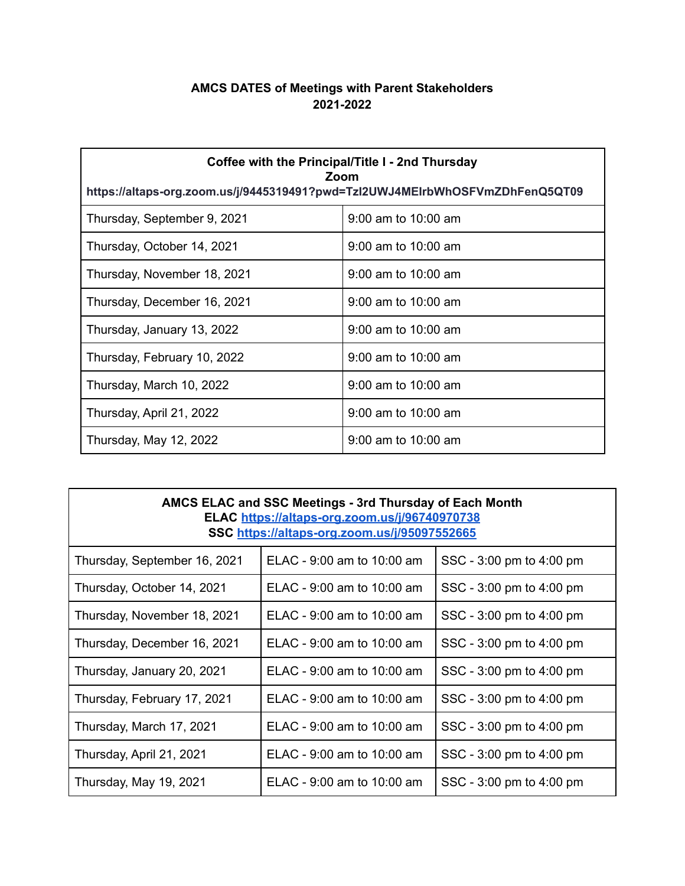## **AMCS DATES of Meetings with Parent Stakeholders 2021-2022**

| Coffee with the Principal/Title I - 2nd Thursday<br>Zoom<br>https://altaps-org.zoom.us/j/9445319491?pwd=Tzl2UWJ4MEIrbWhOSFVmZDhFenQ5QT09 |                       |  |
|------------------------------------------------------------------------------------------------------------------------------------------|-----------------------|--|
| Thursday, September 9, 2021                                                                                                              | $9:00$ am to 10:00 am |  |
| Thursday, October 14, 2021                                                                                                               | $9:00$ am to 10:00 am |  |
| Thursday, November 18, 2021                                                                                                              | $9:00$ am to 10:00 am |  |
| Thursday, December 16, 2021                                                                                                              | $9:00$ am to 10:00 am |  |
| Thursday, January 13, 2022                                                                                                               | $9:00$ am to 10:00 am |  |
| Thursday, February 10, 2022                                                                                                              | $9:00$ am to 10:00 am |  |
| Thursday, March 10, 2022                                                                                                                 | $9:00$ am to 10:00 am |  |
| Thursday, April 21, 2022                                                                                                                 | $9:00$ am to 10:00 am |  |
| Thursday, May 12, 2022                                                                                                                   | $9:00$ am to 10:00 am |  |

| AMCS ELAC and SSC Meetings - 3rd Thursday of Each Month<br>ELAC https://altaps-org.zoom.us/j/96740970738<br>SSC https://altaps-org.zoom.us/j/95097552665 |                                |                          |  |
|----------------------------------------------------------------------------------------------------------------------------------------------------------|--------------------------------|--------------------------|--|
| Thursday, September 16, 2021                                                                                                                             | ELAC - 9:00 am to 10:00 am     | SSC - 3:00 pm to 4:00 pm |  |
| Thursday, October 14, 2021                                                                                                                               | ELAC - $9:00$ am to $10:00$ am | SSC - 3:00 pm to 4:00 pm |  |
| Thursday, November 18, 2021                                                                                                                              | ELAC - $9:00$ am to 10:00 am   | SSC - 3:00 pm to 4:00 pm |  |
| Thursday, December 16, 2021                                                                                                                              | ELAC - $9:00$ am to 10:00 am   | SSC - 3:00 pm to 4:00 pm |  |
| Thursday, January 20, 2021                                                                                                                               | ELAC - $9:00$ am to 10:00 am   | SSC - 3:00 pm to 4:00 pm |  |
| Thursday, February 17, 2021                                                                                                                              | ELAC - $9:00$ am to $10:00$ am | SSC - 3:00 pm to 4:00 pm |  |
| Thursday, March 17, 2021                                                                                                                                 | ELAC - $9:00$ am to $10:00$ am | SSC - 3:00 pm to 4:00 pm |  |
| Thursday, April 21, 2021                                                                                                                                 | ELAC - 9:00 am to 10:00 am     | SSC - 3:00 pm to 4:00 pm |  |
| Thursday, May 19, 2021                                                                                                                                   | ELAC - $9:00$ am to 10:00 am   | SSC - 3:00 pm to 4:00 pm |  |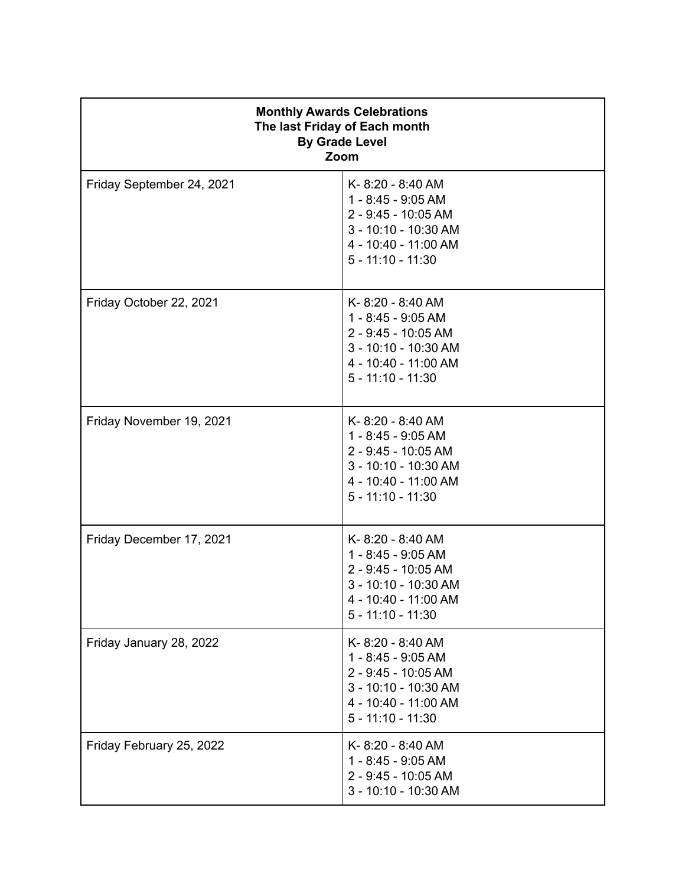| <b>Monthly Awards Celebrations</b><br>The last Friday of Each month<br><b>By Grade Level</b><br>Zoom |                                                                                                                                      |  |
|------------------------------------------------------------------------------------------------------|--------------------------------------------------------------------------------------------------------------------------------------|--|
| Friday September 24, 2021                                                                            | K-8:20 - 8:40 AM<br>1 - 8:45 - 9:05 AM<br>2 - 9:45 - 10:05 AM<br>3 - 10:10 - 10:30 AM<br>4 - 10:40 - 11:00 AM<br>$5 - 11:10 - 11:30$ |  |
| Friday October 22, 2021                                                                              | K-8:20 - 8:40 AM<br>1 - 8:45 - 9:05 AM<br>2 - 9:45 - 10:05 AM<br>3 - 10:10 - 10:30 AM<br>4 - 10:40 - 11:00 AM<br>$5 - 11:10 - 11:30$ |  |
| Friday November 19, 2021                                                                             | K-8:20 - 8:40 AM<br>1 - 8:45 - 9:05 AM<br>2 - 9:45 - 10:05 AM<br>3 - 10:10 - 10:30 AM<br>4 - 10:40 - 11:00 AM<br>$5 - 11:10 - 11:30$ |  |
| Friday December 17, 2021                                                                             | K-8:20 - 8:40 AM<br>1 - 8:45 - 9:05 AM<br>2 - 9:45 - 10:05 AM<br>3 - 10:10 - 10:30 AM<br>4 - 10:40 - 11:00 AM<br>$5 - 11:10 - 11:30$ |  |
| Friday January 28, 2022                                                                              | K-8:20 - 8:40 AM<br>1 - 8:45 - 9:05 AM<br>2 - 9:45 - 10:05 AM<br>3 - 10:10 - 10:30 AM<br>4 - 10:40 - 11:00 AM<br>$5 - 11:10 - 11:30$ |  |
| Friday February 25, 2022                                                                             | K-8:20 - 8:40 AM<br>1 - 8:45 - 9:05 AM<br>2 - 9:45 - 10:05 AM<br>3 - 10:10 - 10:30 AM                                                |  |